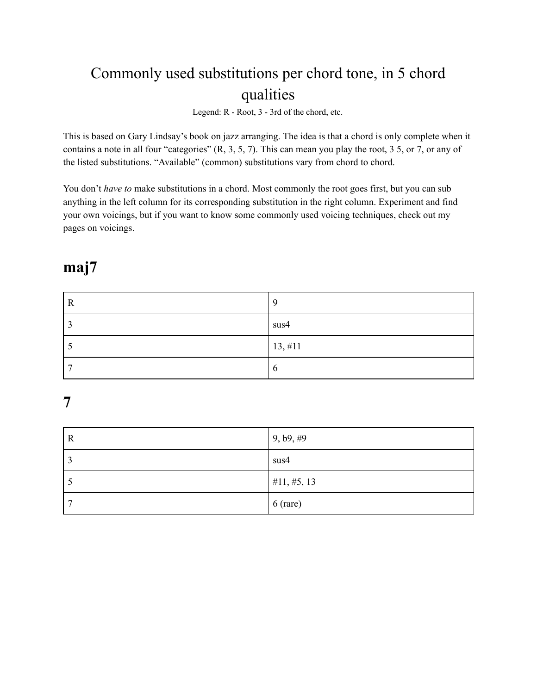# Commonly used substitutions per chord tone, in 5 chord qualities

Legend: R - Root, 3 - 3rd of the chord, etc.

This is based on Gary Lindsay's book on jazz arranging. The idea is that a chord is only complete when it contains a note in all four "categories" (R, 3, 5, 7). This can mean you play the root, 3 5, or 7, or any of the listed substitutions. "Available" (common) substitutions vary from chord to chord.

You don't *have to* make substitutions in a chord. Most commonly the root goes first, but you can sub anything in the left column for its corresponding substitution in the right column. Experiment and find your own voicings, but if you want to know some commonly used voicing techniques, check out my pages on voicings.

### **maj7**

| $\mathbf R$ | Q           |
|-------------|-------------|
| r,          | sus4        |
|             | 13, #11     |
| -           | $\mathbf b$ |

## **7**

| R | 9, b9, #9       |
|---|-----------------|
|   | sus4            |
|   | $\#11, \#5, 13$ |
|   | $6$ (rare)      |